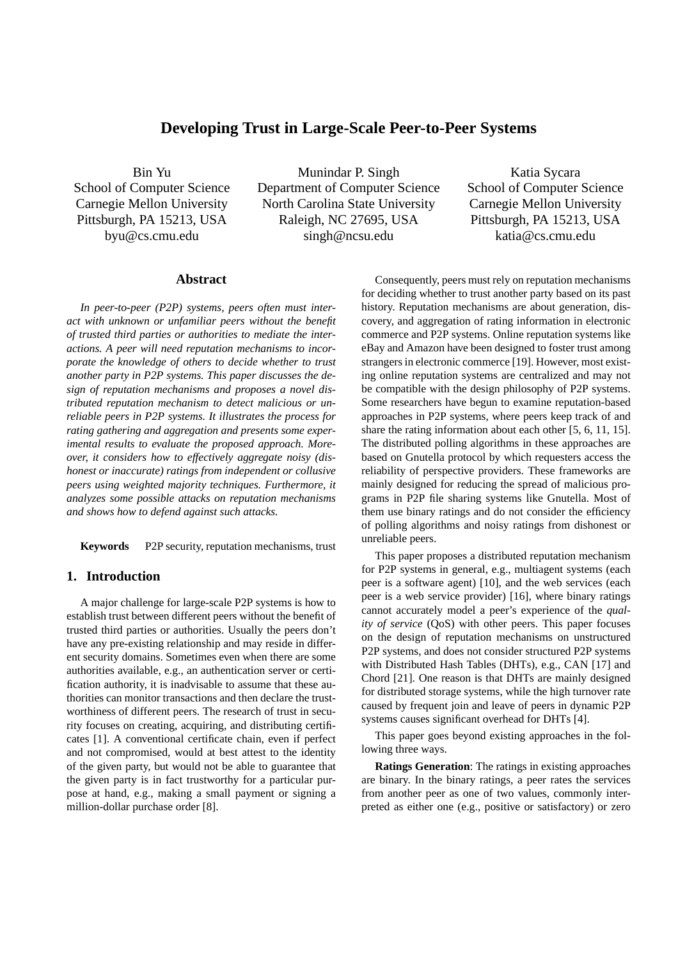# **Developing Trust in Large-Scale Peer-to-Peer Systems**

Bin Yu School of Computer Science Carnegie Mellon University Pittsburgh, PA 15213, USA byu@cs.cmu.edu

Munindar P. Singh Department of Computer Science North Carolina State University Raleigh, NC 27695, USA singh@ncsu.edu

Katia Sycara School of Computer Science Carnegie Mellon University Pittsburgh, PA 15213, USA katia@cs.cmu.edu

## **Abstract**

*In peer-to-peer (P2P) systems, peers often must interact with unknown or unfamiliar peers without the benefit of trusted third parties or authorities to mediate the interactions. A peer will need reputation mechanisms to incorporate the knowledge of others to decide whether to trust another party in P2P systems. This paper discusses the design of reputation mechanisms and proposes a novel distributed reputation mechanism to detect malicious or unreliable peers in P2P systems. It illustrates the process for rating gathering and aggregation and presents some experimental results to evaluate the proposed approach. Moreover, it considers how to effectively aggregate noisy (dishonest or inaccurate) ratings from independent or collusive peers using weighted majority techniques. Furthermore, it analyzes some possible attacks on reputation mechanisms and shows how to defend against such attacks.*

**Keywords** P2P security, reputation mechanisms, trust

## **1. Introduction**

A major challenge for large-scale P2P systems is how to establish trust between different peers without the benefit of trusted third parties or authorities. Usually the peers don't have any pre-existing relationship and may reside in different security domains. Sometimes even when there are some authorities available, e.g., an authentication server or certification authority, it is inadvisable to assume that these authorities can monitor transactions and then declare the trustworthiness of different peers. The research of trust in security focuses on creating, acquiring, and distributing certificates [1]. A conventional certificate chain, even if perfect and not compromised, would at best attest to the identity of the given party, but would not be able to guarantee that the given party is in fact trustworthy for a particular purpose at hand, e.g., making a small payment or signing a million-dollar purchase order [8].

Consequently, peers must rely on reputation mechanisms for deciding whether to trust another party based on its past history. Reputation mechanisms are about generation, discovery, and aggregation of rating information in electronic commerce and P2P systems. Online reputation systems like eBay and Amazon have been designed to foster trust among strangers in electronic commerce [19]. However, most existing online reputation systems are centralized and may not be compatible with the design philosophy of P2P systems. Some researchers have begun to examine reputation-based approaches in P2P systems, where peers keep track of and share the rating information about each other [5, 6, 11, 15]. The distributed polling algorithms in these approaches are based on Gnutella protocol by which requesters access the reliability of perspective providers. These frameworks are mainly designed for reducing the spread of malicious programs in P2P file sharing systems like Gnutella. Most of them use binary ratings and do not consider the efficiency of polling algorithms and noisy ratings from dishonest or unreliable peers.

This paper proposes a distributed reputation mechanism for P2P systems in general, e.g., multiagent systems (each peer is a software agent) [10], and the web services (each peer is a web service provider) [16], where binary ratings cannot accurately model a peer's experience of the *quality of service* (QoS) with other peers. This paper focuses on the design of reputation mechanisms on unstructured P2P systems, and does not consider structured P2P systems with Distributed Hash Tables (DHTs), e.g., CAN [17] and Chord [21]. One reason is that DHTs are mainly designed for distributed storage systems, while the high turnover rate caused by frequent join and leave of peers in dynamic P2P systems causes significant overhead for DHTs [4].

This paper goes beyond existing approaches in the following three ways.

**Ratings Generation**: The ratings in existing approaches are binary. In the binary ratings, a peer rates the services from another peer as one of two values, commonly interpreted as either one (e.g., positive or satisfactory) or zero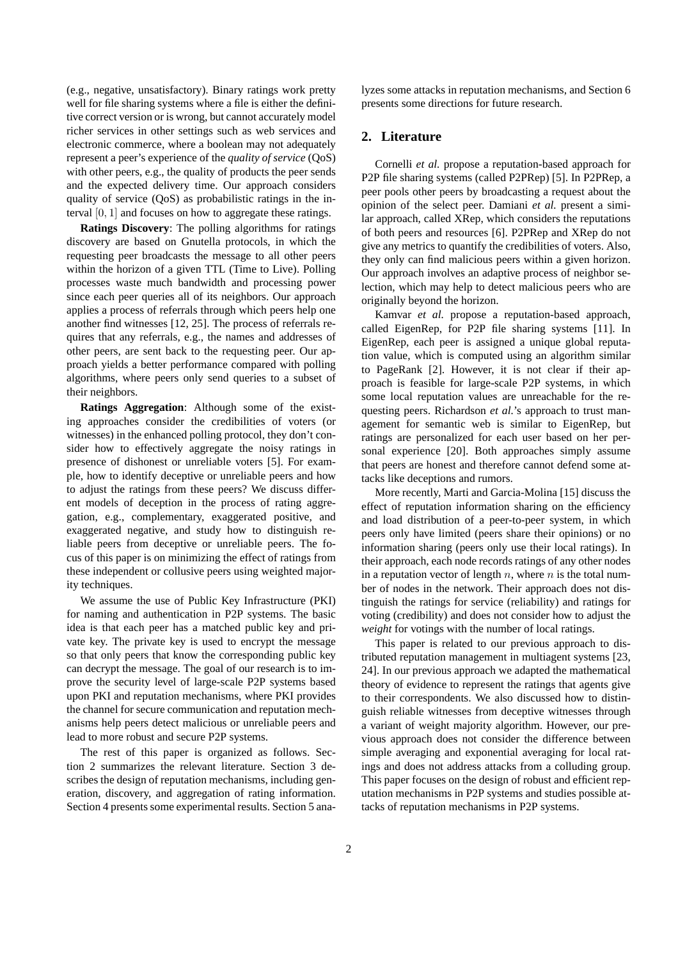(e.g., negative, unsatisfactory). Binary ratings work pretty well for file sharing systems where a file is either the definitive correct version or is wrong, but cannot accurately model richer services in other settings such as web services and electronic commerce, where a boolean may not adequately represent a peer's experience of the *quality of service* (QoS) with other peers, e.g., the quality of products the peer sends and the expected delivery time. Our approach considers quality of service (QoS) as probabilistic ratings in the interval [0, 1] and focuses on how to aggregate these ratings.

**Ratings Discovery**: The polling algorithms for ratings discovery are based on Gnutella protocols, in which the requesting peer broadcasts the message to all other peers within the horizon of a given TTL (Time to Live). Polling processes waste much bandwidth and processing power since each peer queries all of its neighbors. Our approach applies a process of referrals through which peers help one another find witnesses [12, 25]. The process of referrals requires that any referrals, e.g., the names and addresses of other peers, are sent back to the requesting peer. Our approach yields a better performance compared with polling algorithms, where peers only send queries to a subset of their neighbors.

**Ratings Aggregation**: Although some of the existing approaches consider the credibilities of voters (or witnesses) in the enhanced polling protocol, they don't consider how to effectively aggregate the noisy ratings in presence of dishonest or unreliable voters [5]. For example, how to identify deceptive or unreliable peers and how to adjust the ratings from these peers? We discuss different models of deception in the process of rating aggregation, e.g., complementary, exaggerated positive, and exaggerated negative, and study how to distinguish reliable peers from deceptive or unreliable peers. The focus of this paper is on minimizing the effect of ratings from these independent or collusive peers using weighted majority techniques.

We assume the use of Public Key Infrastructure (PKI) for naming and authentication in P2P systems. The basic idea is that each peer has a matched public key and private key. The private key is used to encrypt the message so that only peers that know the corresponding public key can decrypt the message. The goal of our research is to improve the security level of large-scale P2P systems based upon PKI and reputation mechanisms, where PKI provides the channel for secure communication and reputation mechanisms help peers detect malicious or unreliable peers and lead to more robust and secure P2P systems.

The rest of this paper is organized as follows. Section 2 summarizes the relevant literature. Section 3 describes the design of reputation mechanisms, including generation, discovery, and aggregation of rating information. Section 4 presents some experimental results. Section 5 analyzes some attacks in reputation mechanisms, and Section 6 presents some directions for future research.

## **2. Literature**

Cornelli *et al.* propose a reputation-based approach for P2P file sharing systems (called P2PRep) [5]. In P2PRep, a peer pools other peers by broadcasting a request about the opinion of the select peer. Damiani *et al.* present a similar approach, called XRep, which considers the reputations of both peers and resources [6]. P2PRep and XRep do not give any metrics to quantify the credibilities of voters. Also, they only can find malicious peers within a given horizon. Our approach involves an adaptive process of neighbor selection, which may help to detect malicious peers who are originally beyond the horizon.

Kamvar *et al.* propose a reputation-based approach, called EigenRep, for P2P file sharing systems [11]. In EigenRep, each peer is assigned a unique global reputation value, which is computed using an algorithm similar to PageRank [2]. However, it is not clear if their approach is feasible for large-scale P2P systems, in which some local reputation values are unreachable for the requesting peers. Richardson *et al.*'s approach to trust management for semantic web is similar to EigenRep, but ratings are personalized for each user based on her personal experience [20]. Both approaches simply assume that peers are honest and therefore cannot defend some attacks like deceptions and rumors.

More recently, Marti and Garcia-Molina [15] discuss the effect of reputation information sharing on the efficiency and load distribution of a peer-to-peer system, in which peers only have limited (peers share their opinions) or no information sharing (peers only use their local ratings). In their approach, each node records ratings of any other nodes in a reputation vector of length  $n$ , where  $n$  is the total number of nodes in the network. Their approach does not distinguish the ratings for service (reliability) and ratings for voting (credibility) and does not consider how to adjust the *weight* for votings with the number of local ratings.

This paper is related to our previous approach to distributed reputation management in multiagent systems [23, 24]. In our previous approach we adapted the mathematical theory of evidence to represent the ratings that agents give to their correspondents. We also discussed how to distinguish reliable witnesses from deceptive witnesses through a variant of weight majority algorithm. However, our previous approach does not consider the difference between simple averaging and exponential averaging for local ratings and does not address attacks from a colluding group. This paper focuses on the design of robust and efficient reputation mechanisms in P2P systems and studies possible attacks of reputation mechanisms in P2P systems.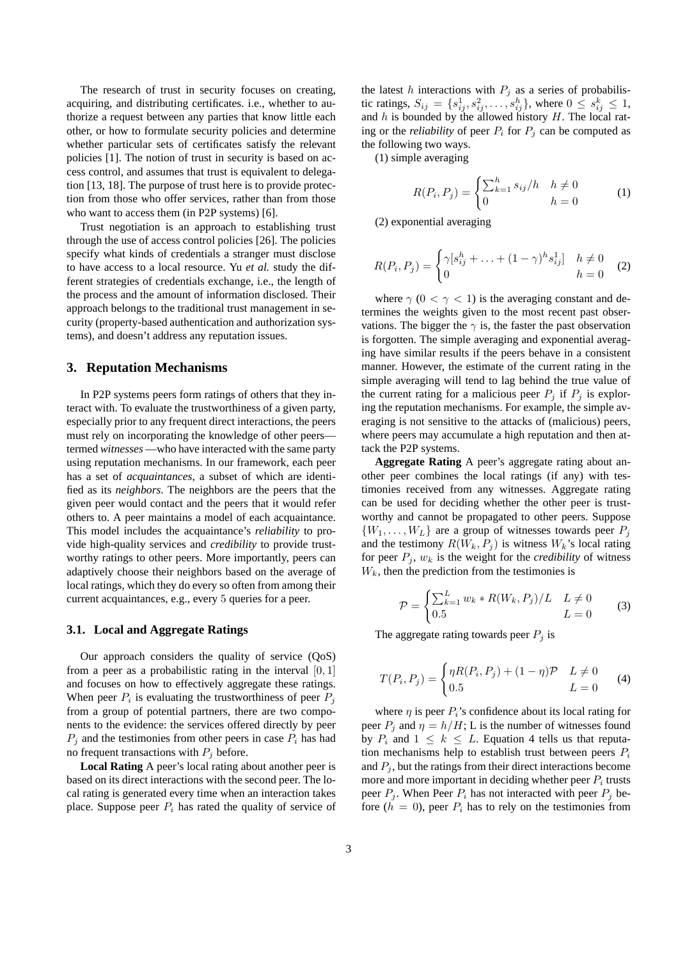The research of trust in security focuses on creating, acquiring, and distributing certificates. i.e., whether to authorize a request between any parties that know little each other, or how to formulate security policies and determine whether particular sets of certificates satisfy the relevant policies [1]. The notion of trust in security is based on access control, and assumes that trust is equivalent to delegation [13, 18]. The purpose of trust here is to provide protection from those who offer services, rather than from those who want to access them (in P2P systems) [6].

Trust negotiation is an approach to establishing trust through the use of access control policies [26]. The policies specify what kinds of credentials a stranger must disclose to have access to a local resource. Yu *et al.* study the different strategies of credentials exchange, i.e., the length of the process and the amount of information disclosed. Their approach belongs to the traditional trust management in security (property-based authentication and authorization systems), and doesn't address any reputation issues.

## **3. Reputation Mechanisms**

In P2P systems peers form ratings of others that they interact with. To evaluate the trustworthiness of a given party, especially prior to any frequent direct interactions, the peers must rely on incorporating the knowledge of other peers termed *witnesses* —who have interacted with the same party using reputation mechanisms. In our framework, each peer has a set of *acquaintances*, a subset of which are identified as its *neighbors*. The neighbors are the peers that the given peer would contact and the peers that it would refer others to. A peer maintains a model of each acquaintance. This model includes the acquaintance's *reliability* to provide high-quality services and *credibility* to provide trustworthy ratings to other peers. More importantly, peers can adaptively choose their neighbors based on the average of local ratings, which they do every so often from among their current acquaintances, e.g., every 5 queries for a peer.

## **3.1. Local and Aggregate Ratings**

Our approach considers the quality of service (QoS) from a peer as a probabilistic rating in the interval  $[0, 1]$ and focuses on how to effectively aggregate these ratings. When peer  $P_i$  is evaluating the trustworthiness of peer  $P_j$ from a group of potential partners, there are two components to the evidence: the services offered directly by peer  $P_i$  and the testimonies from other peers in case  $P_i$  has had no frequent transactions with  $P_j$  before.

**Local Rating** A peer's local rating about another peer is based on its direct interactions with the second peer. The local rating is generated every time when an interaction takes place. Suppose peer  $P_i$  has rated the quality of service of the latest h interactions with  $P_j$  as a series of probabilistic ratings,  $S_{ij} = \{s_{ij}^1, s_{ij}^2, \dots, s_{ij}^h\}$ , where  $0 \le s_{ij}^k \le 1$ , and  $h$  is bounded by the allowed history  $H$ . The local rating or the *reliability* of peer  $P_i$  for  $P_j$  can be computed as the following two ways.

(1) simple averaging

$$
R(P_i, P_j) = \begin{cases} \sum_{k=1}^{h} s_{ij} / h & h \neq 0\\ 0 & h = 0 \end{cases}
$$
 (1)

(2) exponential averaging

$$
R(P_i, P_j) = \begin{cases} \gamma [s_{ij}^h + \dots + (1 - \gamma)^h s_{ij}^1] & h \neq 0\\ 0 & h = 0 \end{cases}
$$
 (2)

where  $\gamma$  (0 <  $\gamma$  < 1) is the averaging constant and determines the weights given to the most recent past observations. The bigger the  $\gamma$  is, the faster the past observation is forgotten. The simple averaging and exponential averaging have similar results if the peers behave in a consistent manner. However, the estimate of the current rating in the simple averaging will tend to lag behind the true value of the current rating for a malicious peer  $P_i$  if  $P_j$  is exploring the reputation mechanisms. For example, the simple averaging is not sensitive to the attacks of (malicious) peers, where peers may accumulate a high reputation and then attack the P2P systems.

**Aggregate Rating** A peer's aggregate rating about another peer combines the local ratings (if any) with testimonies received from any witnesses. Aggregate rating can be used for deciding whether the other peer is trustworthy and cannot be propagated to other peers. Suppose  $\{W_1, \ldots, W_L\}$  are a group of witnesses towards peer  $P_i$ and the testimony  $R(W_k, P_j)$  is witness  $W_k$ 's local rating for peer  $P_j$ ,  $w_k$  is the weight for the *credibility* of witness  $W_k$ , then the prediction from the testimonies is

$$
\mathcal{P} = \begin{cases} \sum_{k=1}^{L} w_k * R(W_k, P_j) / L & L \neq 0 \\ 0.5 & L = 0 \end{cases}
$$
 (3)

The aggregate rating towards peer  $P_i$  is

$$
T(P_i, P_j) = \begin{cases} \eta R(P_i, P_j) + (1 - \eta) \mathcal{P} & L \neq 0 \\ 0.5 & L = 0 \end{cases}
$$
 (4)

where  $\eta$  is peer  $P_i$ 's confidence about its local rating for peer  $P_i$  and  $\eta = h/H$ ; L is the number of witnesses found by  $P_i$  and  $1 \leq k \leq L$ . Equation 4 tells us that reputation mechanisms help to establish trust between peers  $P_i$ and  $P_i$ , but the ratings from their direct interactions become more and more important in deciding whether peer  $P_i$  trusts peer  $P_i$ . When Peer  $P_i$  has not interacted with peer  $P_j$  before  $(h = 0)$ , peer  $P_i$  has to rely on the testimonies from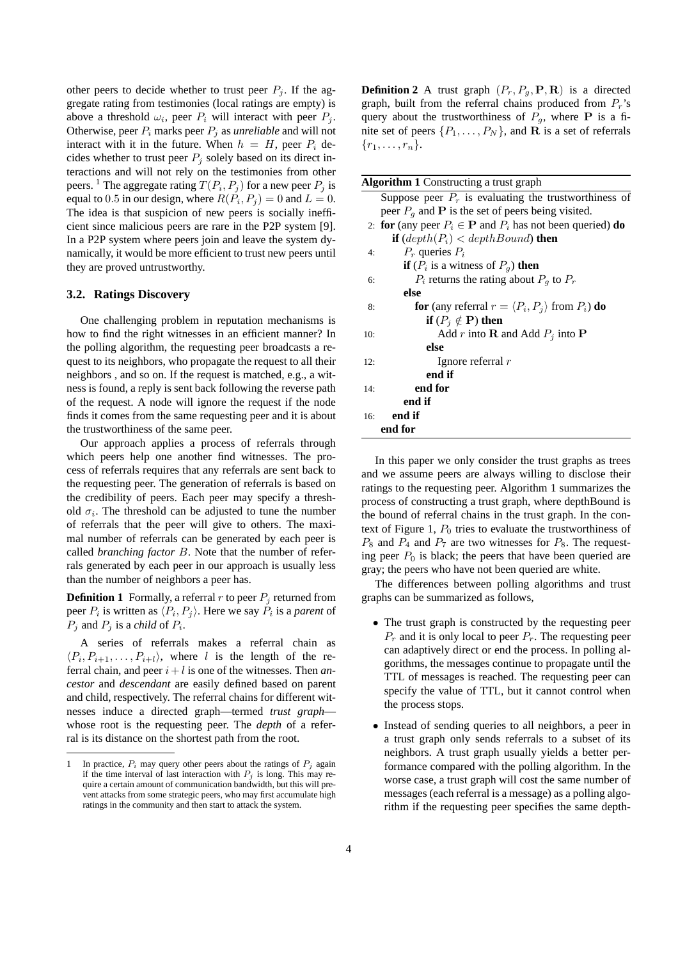other peers to decide whether to trust peer  $P_j$ . If the aggregate rating from testimonies (local ratings are empty) is above a threshold  $\omega_i$ , peer  $P_i$  will interact with peer  $P_j$ . Otherwise, peer  $P_i$  marks peer  $P_j$  as *unreliable* and will not interact with it in the future. When  $h = H$ , peer  $P_i$  decides whether to trust peer  $P_i$  solely based on its direct interactions and will not rely on the testimonies from other peers. <sup>1</sup> The aggregate rating  $T(P_i, P_j)$  for a new peer  $P_j$  is equal to 0.5 in our design, where  $R(P_i, P_j) = 0$  and  $L = 0$ . The idea is that suspicion of new peers is socially inefficient since malicious peers are rare in the P2P system [9]. In a P2P system where peers join and leave the system dynamically, it would be more efficient to trust new peers until they are proved untrustworthy.

## **3.2. Ratings Discovery**

One challenging problem in reputation mechanisms is how to find the right witnesses in an efficient manner? In the polling algorithm, the requesting peer broadcasts a request to its neighbors, who propagate the request to all their neighbors , and so on. If the request is matched, e.g., a witness is found, a reply is sent back following the reverse path of the request. A node will ignore the request if the node finds it comes from the same requesting peer and it is about the trustworthiness of the same peer.

Our approach applies a process of referrals through which peers help one another find witnesses. The process of referrals requires that any referrals are sent back to the requesting peer. The generation of referrals is based on the credibility of peers. Each peer may specify a threshold  $\sigma_i$ . The threshold can be adjusted to tune the number of referrals that the peer will give to others. The maximal number of referrals can be generated by each peer is called *branching factor* B. Note that the number of referrals generated by each peer in our approach is usually less than the number of neighbors a peer has.

**Definition 1** Formally, a referral  $r$  to peer  $P_i$  returned from peer  $P_i$  is written as  $\langle P_i, P_j \rangle$ . Here we say  $P_i$  is a *parent* of  $P_j$  and  $P_j$  is a *child* of  $P_i$ .

A series of referrals makes a referral chain as  $\langle P_i, P_{i+1}, \ldots, P_{i+l} \rangle$ , where l is the length of the referral chain, and peer  $i + l$  is one of the witnesses. Then *ancestor* and *descendant* are easily defined based on parent and child, respectively. The referral chains for different witnesses induce a directed graph—termed *trust graph* whose root is the requesting peer. The *depth* of a referral is its distance on the shortest path from the root.

**Definition 2** A trust graph  $(P_r, P_g, P, R)$  is a directed graph, built from the referral chains produced from  $P_r$ 's query about the trustworthiness of  $P_q$ , where **P** is a finite set of peers  $\{P_1, \ldots, P_N\}$ , and **R** is a set of referrals  $\{r_1, \ldots, r_n\}.$ 

In this paper we only consider the trust graphs as trees and we assume peers are always willing to disclose their ratings to the requesting peer. Algorithm 1 summarizes the process of constructing a trust graph, where depthBound is the bound of referral chains in the trust graph. In the context of Figure 1,  $P_0$  tries to evaluate the trustworthiness of  $P_8$  and  $P_4$  and  $P_7$  are two witnesses for  $P_8$ . The requesting peer  $P_0$  is black; the peers that have been queried are gray; the peers who have not been queried are white.

The differences between polling algorithms and trust graphs can be summarized as follows,

- The trust graph is constructed by the requesting peer  $P_r$  and it is only local to peer  $P_r$ . The requesting peer can adaptively direct or end the process. In polling algorithms, the messages continue to propagate until the TTL of messages is reached. The requesting peer can specify the value of TTL, but it cannot control when the process stops.
- Instead of sending queries to all neighbors, a peer in a trust graph only sends referrals to a subset of its neighbors. A trust graph usually yields a better performance compared with the polling algorithm. In the worse case, a trust graph will cost the same number of messages (each referral is a message) as a polling algorithm if the requesting peer specifies the same depth-

In practice,  $P_i$  may query other peers about the ratings of  $P_j$  again if the time interval of last interaction with  $P_i$  is long. This may require a certain amount of communication bandwidth, but this will prevent attacks from some strategic peers, who may first accumulate high ratings in the community and then start to attack the system.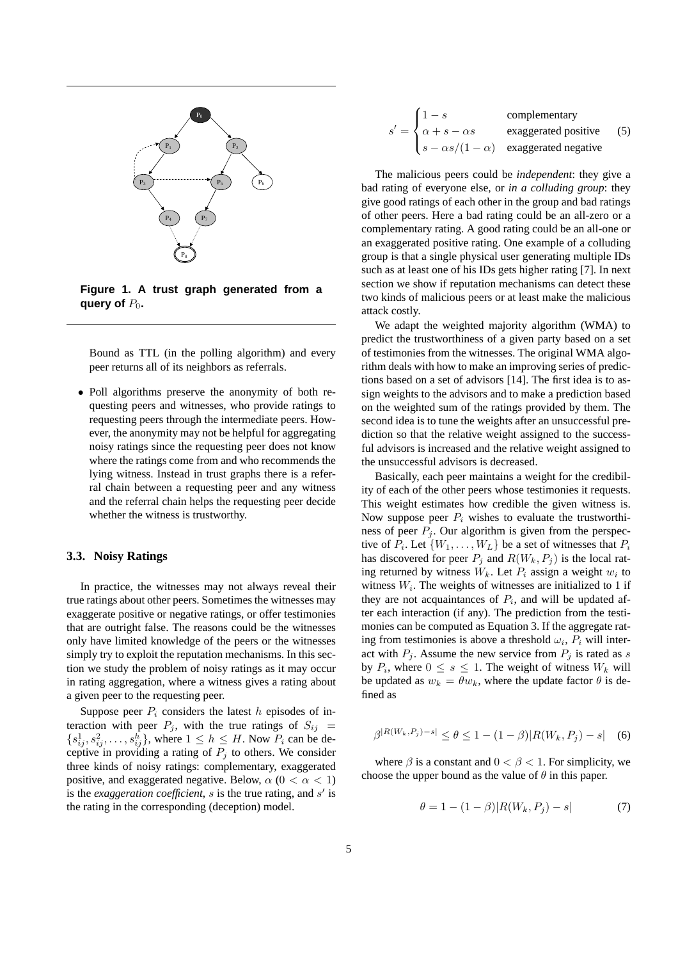

**Figure 1. A trust graph generated from a query of**  $P_0$ .

Bound as TTL (in the polling algorithm) and every peer returns all of its neighbors as referrals.

• Poll algorithms preserve the anonymity of both requesting peers and witnesses, who provide ratings to requesting peers through the intermediate peers. However, the anonymity may not be helpful for aggregating noisy ratings since the requesting peer does not know where the ratings come from and who recommends the lying witness. Instead in trust graphs there is a referral chain between a requesting peer and any witness and the referral chain helps the requesting peer decide whether the witness is trustworthy.

## **3.3. Noisy Ratings**

In practice, the witnesses may not always reveal their true ratings about other peers. Sometimes the witnesses may exaggerate positive or negative ratings, or offer testimonies that are outright false. The reasons could be the witnesses only have limited knowledge of the peers or the witnesses simply try to exploit the reputation mechanisms. In this section we study the problem of noisy ratings as it may occur in rating aggregation, where a witness gives a rating about a given peer to the requesting peer.

Suppose peer  $P_i$  considers the latest h episodes of interaction with peer  $P_j$ , with the true ratings of  $S_{ij}$  =  $\{s_{ij}^1, s_{ij}^2, \ldots, s_{ij}^h\}$ , where  $1 \leq h \leq H$ . Now  $P_i$  can be deceptive in providing a rating of  $P_j$  to others. We consider three kinds of noisy ratings: complementary, exaggerated positive, and exaggerated negative. Below,  $\alpha$  ( $0 < \alpha < 1$ ) is the *exaggeration coefficient*,  $s$  is the true rating, and  $s'$  is the rating in the corresponding (deception) model.

$$
s' = \begin{cases} 1 - s & \text{complementary} \\ \alpha + s - \alpha s & \text{exaggered positive} \\ s - \alpha s / (1 - \alpha) & \text{exaggered negative} \end{cases} \tag{5}
$$

The malicious peers could be *independent*: they give a bad rating of everyone else, or *in a colluding group*: they give good ratings of each other in the group and bad ratings of other peers. Here a bad rating could be an all-zero or a complementary rating. A good rating could be an all-one or an exaggerated positive rating. One example of a colluding group is that a single physical user generating multiple IDs such as at least one of his IDs gets higher rating [7]. In next section we show if reputation mechanisms can detect these two kinds of malicious peers or at least make the malicious attack costly.

We adapt the weighted majority algorithm (WMA) to predict the trustworthiness of a given party based on a set of testimonies from the witnesses. The original WMA algorithm deals with how to make an improving series of predictions based on a set of advisors [14]. The first idea is to assign weights to the advisors and to make a prediction based on the weighted sum of the ratings provided by them. The second idea is to tune the weights after an unsuccessful prediction so that the relative weight assigned to the successful advisors is increased and the relative weight assigned to the unsuccessful advisors is decreased.

Basically, each peer maintains a weight for the credibility of each of the other peers whose testimonies it requests. This weight estimates how credible the given witness is. Now suppose peer  $P_i$  wishes to evaluate the trustworthiness of peer  $P_j$ . Our algorithm is given from the perspective of  $P_i$ . Let  $\{W_1, \ldots, W_L\}$  be a set of witnesses that  $P_i$ has discovered for peer  $P_i$  and  $R(W_k, P_j)$  is the local rating returned by witness  $W_k$ . Let  $P_i$  assign a weight  $w_i$  to witness  $W_i$ . The weights of witnesses are initialized to 1 if they are not acquaintances of  $P_i$ , and will be updated after each interaction (if any). The prediction from the testimonies can be computed as Equation 3. If the aggregate rating from testimonies is above a threshold  $\omega_i$ ,  $P_i$  will interact with  $P_j$ . Assume the new service from  $P_j$  is rated as s by  $P_i$ , where  $0 \leq s \leq 1$ . The weight of witness  $W_k$  will be updated as  $w_k = \theta w_k$ , where the update factor  $\theta$  is defined as

$$
\beta^{|R(W_k, P_j) - s|} \le \theta \le 1 - (1 - \beta)|R(W_k, P_j) - s| \quad (6)
$$

where  $\beta$  is a constant and  $0 < \beta < 1$ . For simplicity, we choose the upper bound as the value of  $\theta$  in this paper.

$$
\theta = 1 - (1 - \beta)|R(W_k, P_j) - s| \tag{7}
$$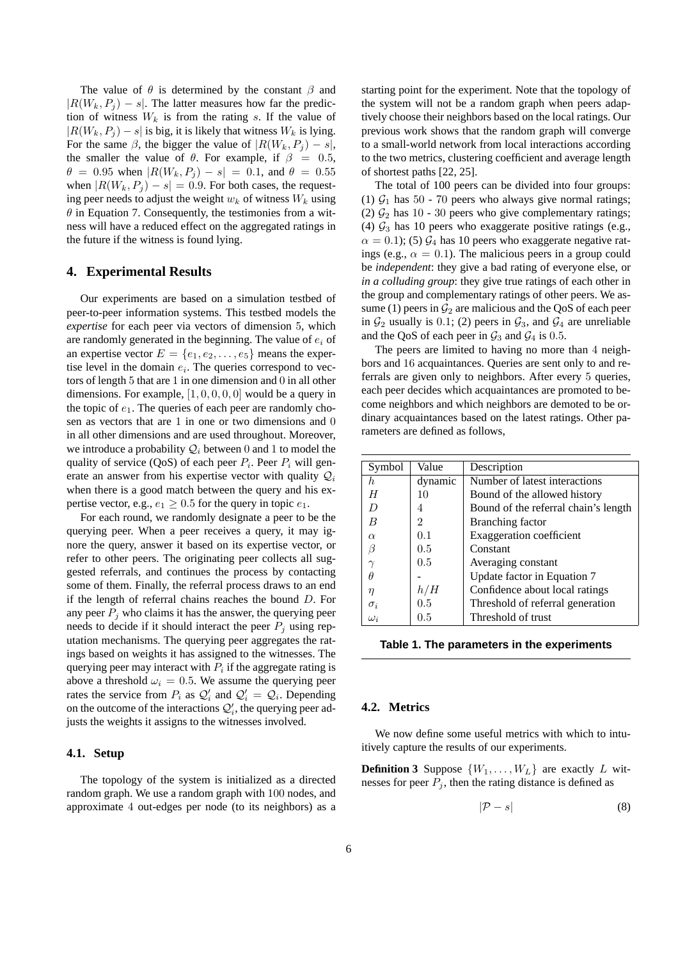The value of  $\theta$  is determined by the constant  $\beta$  and  $|R(W_k, P_i) - s|$ . The latter measures how far the prediction of witness  $W_k$  is from the rating s. If the value of  $|R(W_k, P_i) - s|$  is big, it is likely that witness  $W_k$  is lying. For the same  $\beta$ , the bigger the value of  $|R(W_k, P_i) - s|$ , the smaller the value of  $\theta$ . For example, if  $\beta = 0.5$ ,  $\theta = 0.95$  when  $|R(W_k, P_i) - s| = 0.1$ , and  $\theta = 0.55$ when  $|R(W_k, P_i) - s| = 0.9$ . For both cases, the requesting peer needs to adjust the weight  $w_k$  of witness  $W_k$  using  $\theta$  in Equation 7. Consequently, the testimonies from a witness will have a reduced effect on the aggregated ratings in the future if the witness is found lying.

### **4. Experimental Results**

Our experiments are based on a simulation testbed of peer-to-peer information systems. This testbed models the *expertise* for each peer via vectors of dimension 5, which are randomly generated in the beginning. The value of  $e_i$  of an expertise vector  $E = \{e_1, e_2, \ldots, e_5\}$  means the expertise level in the domain  $e_i$ . The queries correspond to vectors of length 5 that are 1 in one dimension and 0 in all other dimensions. For example,  $[1, 0, 0, 0, 0]$  would be a query in the topic of  $e_1$ . The queries of each peer are randomly chosen as vectors that are 1 in one or two dimensions and 0 in all other dimensions and are used throughout. Moreover, we introduce a probability  $Q_i$  between 0 and 1 to model the quality of service (QoS) of each peer  $P_i$ . Peer  $P_i$  will generate an answer from his expertise vector with quality  $Q_i$ when there is a good match between the query and his expertise vector, e.g.,  $e_1 \geq 0.5$  for the query in topic  $e_1$ .

For each round, we randomly designate a peer to be the querying peer. When a peer receives a query, it may ignore the query, answer it based on its expertise vector, or refer to other peers. The originating peer collects all suggested referrals, and continues the process by contacting some of them. Finally, the referral process draws to an end if the length of referral chains reaches the bound D. For any peer  $P_i$  who claims it has the answer, the querying peer needs to decide if it should interact the peer  $P_i$  using reputation mechanisms. The querying peer aggregates the ratings based on weights it has assigned to the witnesses. The querying peer may interact with  $P_i$  if the aggregate rating is above a threshold  $\omega_i = 0.5$ . We assume the querying peer rates the service from  $P_i$  as  $Q'_i$  and  $Q'_i = Q_i$ . Depending on the outcome of the interactions  $\mathcal{Q}'_i$ , the querying peer adjusts the weights it assigns to the witnesses involved.

## **4.1. Setup**

The topology of the system is initialized as a directed random graph. We use a random graph with 100 nodes, and approximate 4 out-edges per node (to its neighbors) as a starting point for the experiment. Note that the topology of the system will not be a random graph when peers adaptively choose their neighbors based on the local ratings. Our previous work shows that the random graph will converge to a small-world network from local interactions according to the two metrics, clustering coefficient and average length of shortest paths [22, 25].

The total of 100 peers can be divided into four groups: (1)  $\mathcal{G}_1$  has 50 - 70 peers who always give normal ratings; (2)  $\mathcal{G}_2$  has 10 - 30 peers who give complementary ratings; (4)  $\mathcal{G}_3$  has 10 peers who exaggerate positive ratings (e.g.,  $\alpha = 0.1$ ); (5)  $\mathcal{G}_4$  has 10 peers who exaggerate negative ratings (e.g.,  $\alpha = 0.1$ ). The malicious peers in a group could be *independent*: they give a bad rating of everyone else, or *in a colluding group*: they give true ratings of each other in the group and complementary ratings of other peers. We assume (1) peers in  $\mathcal{G}_2$  are malicious and the QoS of each peer in  $\mathcal{G}_2$  usually is 0.1; (2) peers in  $\mathcal{G}_3$ , and  $\mathcal{G}_4$  are unreliable and the QoS of each peer in  $\mathcal{G}_3$  and  $\mathcal{G}_4$  is 0.5.

The peers are limited to having no more than 4 neighbors and 16 acquaintances. Queries are sent only to and referrals are given only to neighbors. After every 5 queries, each peer decides which acquaintances are promoted to become neighbors and which neighbors are demoted to be ordinary acquaintances based on the latest ratings. Other parameters are defined as follows,

| Symbol     | Value   | Description                          |  |  |
|------------|---------|--------------------------------------|--|--|
| h.         | dynamic | Number of latest interactions        |  |  |
|            | 10      | Bound of the allowed history         |  |  |
| $\prime$   | 4       | Bound of the referral chain's length |  |  |
| B          | 2       | Branching factor                     |  |  |
| $\alpha$   | 0.1     | <b>Exaggeration</b> coefficient      |  |  |
| β          | 0.5     | Constant                             |  |  |
|            | 0.5     | Averaging constant                   |  |  |
| Ĥ          |         | Update factor in Equation 7          |  |  |
| η          | h/H     | Confidence about local ratings       |  |  |
| $\sigma_i$ | 0.5     | Threshold of referral generation     |  |  |
| $\omega_i$ | $0.5\,$ | Threshold of trust                   |  |  |
|            |         |                                      |  |  |

|  |  |  |  | Table 1. The parameters in the experiments |
|--|--|--|--|--------------------------------------------|
|--|--|--|--|--------------------------------------------|

#### **4.2. Metrics**

We now define some useful metrics with which to intuitively capture the results of our experiments.

**Definition 3** Suppose  $\{W_1, \ldots, W_L\}$  are exactly L witnesses for peer  $P_i$ , then the rating distance is defined as

$$
|\mathcal{P} - s| \tag{8}
$$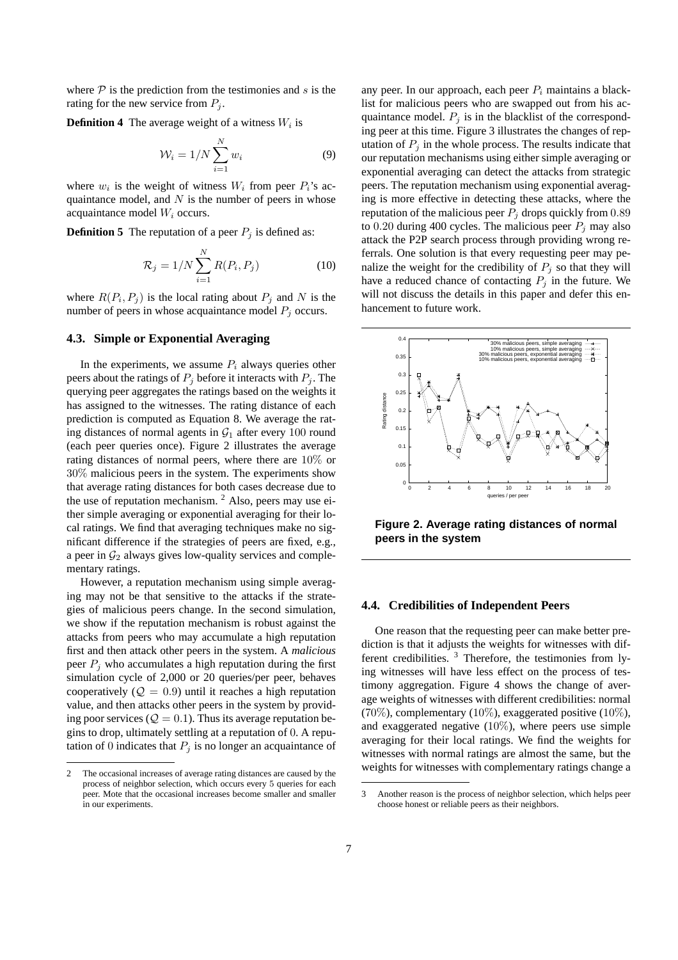where  $P$  is the prediction from the testimonies and s is the rating for the new service from  $P_i$ .

**Definition 4** The average weight of a witness  $W_i$  is

$$
\mathcal{W}_i = 1/N \sum_{i=1}^N w_i \tag{9}
$$

where  $w_i$  is the weight of witness  $W_i$  from peer  $P_i$ 's acquaintance model, and  $N$  is the number of peers in whose acquaintance model  $W_i$  occurs.

**Definition 5** The reputation of a peer  $P_i$  is defined as:

$$
\mathcal{R}_j = 1/N \sum_{i=1}^{N} R(P_i, P_j)
$$
 (10)

where  $R(P_i, P_j)$  is the local rating about  $P_j$  and N is the number of peers in whose acquaintance model  $P_j$  occurs.

#### **4.3. Simple or Exponential Averaging**

In the experiments, we assume  $P_i$  always queries other peers about the ratings of  $P_j$  before it interacts with  $P_j$ . The querying peer aggregates the ratings based on the weights it has assigned to the witnesses. The rating distance of each prediction is computed as Equation 8. We average the rating distances of normal agents in  $\mathcal{G}_1$  after every 100 round (each peer queries once). Figure 2 illustrates the average rating distances of normal peers, where there are 10% or 30% malicious peers in the system. The experiments show that average rating distances for both cases decrease due to the use of reputation mechanism. <sup>2</sup> Also, peers may use either simple averaging or exponential averaging for their local ratings. We find that averaging techniques make no significant difference if the strategies of peers are fixed, e.g., a peer in  $\mathcal{G}_2$  always gives low-quality services and complementary ratings.

However, a reputation mechanism using simple averaging may not be that sensitive to the attacks if the strategies of malicious peers change. In the second simulation, we show if the reputation mechanism is robust against the attacks from peers who may accumulate a high reputation first and then attack other peers in the system. A *malicious* peer  $P_i$  who accumulates a high reputation during the first simulation cycle of 2,000 or 20 queries/per peer, behaves cooperatively ( $Q = 0.9$ ) until it reaches a high reputation value, and then attacks other peers in the system by providing poor services ( $Q = 0.1$ ). Thus its average reputation begins to drop, ultimately settling at a reputation of 0. A reputation of 0 indicates that  $P_j$  is no longer an acquaintance of any peer. In our approach, each peer  $P_i$  maintains a blacklist for malicious peers who are swapped out from his acquaintance model.  $P_i$  is in the blacklist of the corresponding peer at this time. Figure 3 illustrates the changes of reputation of  $P_i$  in the whole process. The results indicate that our reputation mechanisms using either simple averaging or exponential averaging can detect the attacks from strategic peers. The reputation mechanism using exponential averaging is more effective in detecting these attacks, where the reputation of the malicious peer  $P_i$  drops quickly from 0.89 to 0.20 during 400 cycles. The malicious peer  $P_i$  may also attack the P2P search process through providing wrong referrals. One solution is that every requesting peer may penalize the weight for the credibility of  $P_i$  so that they will have a reduced chance of contacting  $P_j$  in the future. We will not discuss the details in this paper and defer this enhancement to future work.



**Figure 2. Average rating distances of normal peers in the system**

#### **4.4. Credibilities of Independent Peers**

One reason that the requesting peer can make better prediction is that it adjusts the weights for witnesses with different credibilities. <sup>3</sup> Therefore, the testimonies from lying witnesses will have less effect on the process of testimony aggregation. Figure 4 shows the change of average weights of witnesses with different credibilities: normal (70%), complementary (10%), exaggerated positive (10%), and exaggerated negative  $(10\%)$ , where peers use simple averaging for their local ratings. We find the weights for witnesses with normal ratings are almost the same, but the weights for witnesses with complementary ratings change a

<sup>2</sup> The occasional increases of average rating distances are caused by the process of neighbor selection, which occurs every 5 queries for each peer. Mote that the occasional increases become smaller and smaller in our experiments.

<sup>3</sup> Another reason is the process of neighbor selection, which helps peer choose honest or reliable peers as their neighbors.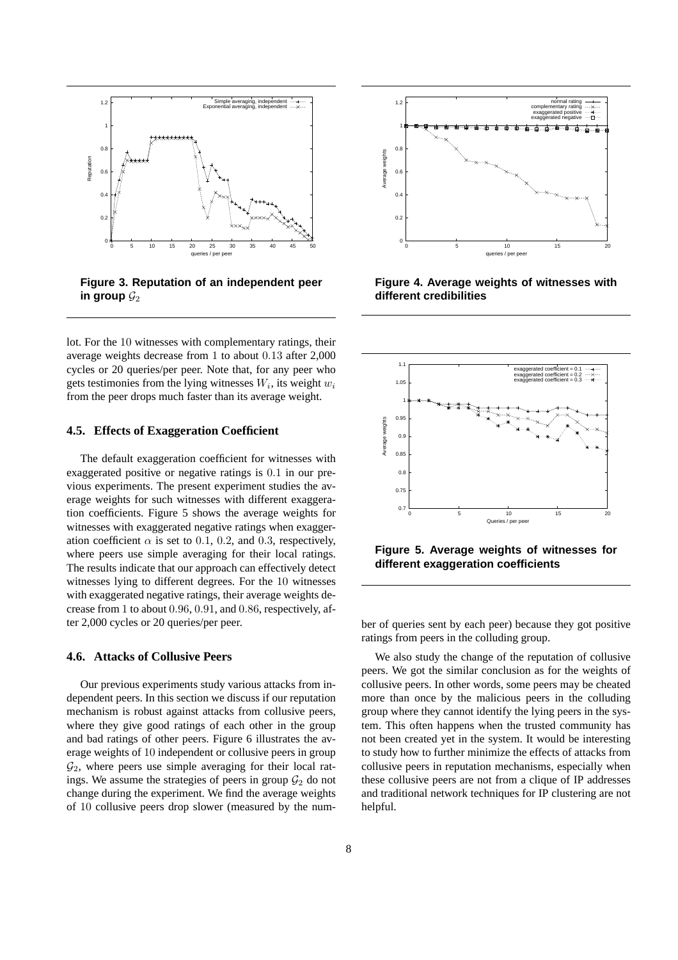

**Figure 3. Reputation of an independent peer** in group  $\mathcal{G}_2$ 

lot. For the 10 witnesses with complementary ratings, their average weights decrease from 1 to about 0.13 after 2,000 cycles or 20 queries/per peer. Note that, for any peer who gets testimonies from the lying witnesses  $W_i$ , its weight  $w_i$ from the peer drops much faster than its average weight.

## **4.5. Effects of Exaggeration Coefficient**

The default exaggeration coefficient for witnesses with exaggerated positive or negative ratings is 0.1 in our previous experiments. The present experiment studies the average weights for such witnesses with different exaggeration coefficients. Figure 5 shows the average weights for witnesses with exaggerated negative ratings when exaggeration coefficient  $\alpha$  is set to 0.1, 0.2, and 0.3, respectively, where peers use simple averaging for their local ratings. The results indicate that our approach can effectively detect witnesses lying to different degrees. For the 10 witnesses with exaggerated negative ratings, their average weights decrease from 1 to about 0.96, 0.91, and 0.86, respectively, after 2,000 cycles or 20 queries/per peer.

## **4.6. Attacks of Collusive Peers**

Our previous experiments study various attacks from independent peers. In this section we discuss if our reputation mechanism is robust against attacks from collusive peers, where they give good ratings of each other in the group and bad ratings of other peers. Figure 6 illustrates the average weights of 10 independent or collusive peers in group  $\mathcal{G}_2$ , where peers use simple averaging for their local ratings. We assume the strategies of peers in group  $\mathcal{G}_2$  do not change during the experiment. We find the average weights of 10 collusive peers drop slower (measured by the num-



**Figure 4. Average weights of witnesses with different credibilities**



**Figure 5. Average weights of witnesses for different exaggeration coefficients**

ber of queries sent by each peer) because they got positive ratings from peers in the colluding group.

We also study the change of the reputation of collusive peers. We got the similar conclusion as for the weights of collusive peers. In other words, some peers may be cheated more than once by the malicious peers in the colluding group where they cannot identify the lying peers in the system. This often happens when the trusted community has not been created yet in the system. It would be interesting to study how to further minimize the effects of attacks from collusive peers in reputation mechanisms, especially when these collusive peers are not from a clique of IP addresses and traditional network techniques for IP clustering are not helpful.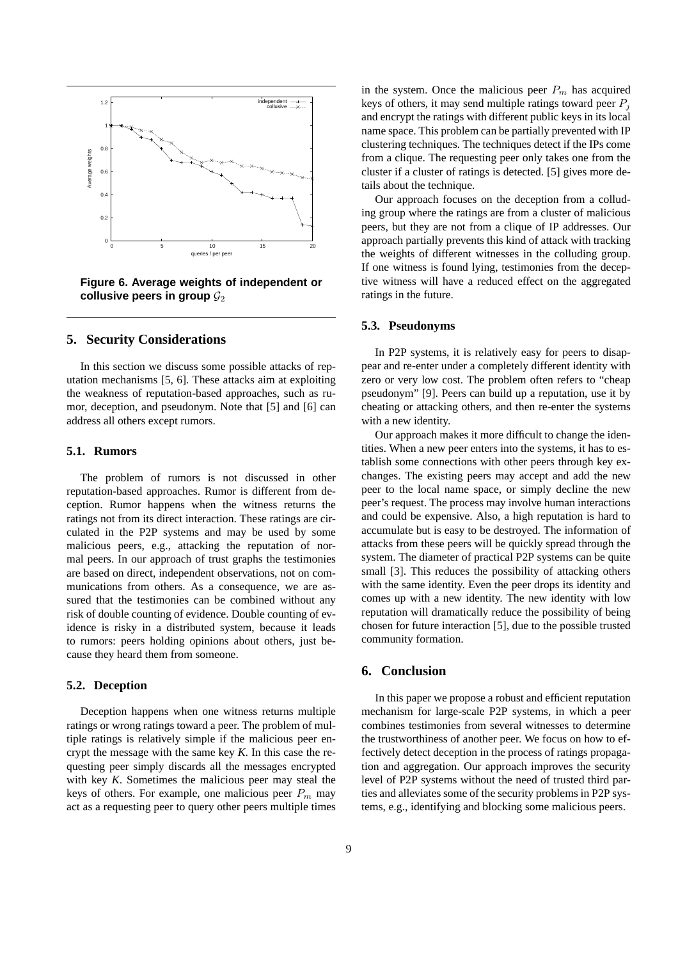

**Figure 6. Average weights of independent or** collusive peers in group  $\mathcal{G}_2$ 

## **5. Security Considerations**

In this section we discuss some possible attacks of reputation mechanisms [5, 6]. These attacks aim at exploiting the weakness of reputation-based approaches, such as rumor, deception, and pseudonym. Note that [5] and [6] can address all others except rumors.

#### **5.1. Rumors**

The problem of rumors is not discussed in other reputation-based approaches. Rumor is different from deception. Rumor happens when the witness returns the ratings not from its direct interaction. These ratings are circulated in the P2P systems and may be used by some malicious peers, e.g., attacking the reputation of normal peers. In our approach of trust graphs the testimonies are based on direct, independent observations, not on communications from others. As a consequence, we are assured that the testimonies can be combined without any risk of double counting of evidence. Double counting of evidence is risky in a distributed system, because it leads to rumors: peers holding opinions about others, just because they heard them from someone.

## **5.2. Deception**

Deception happens when one witness returns multiple ratings or wrong ratings toward a peer. The problem of multiple ratings is relatively simple if the malicious peer encrypt the message with the same key *K*. In this case the requesting peer simply discards all the messages encrypted with key *K*. Sometimes the malicious peer may steal the keys of others. For example, one malicious peer  $P_m$  may act as a requesting peer to query other peers multiple times

in the system. Once the malicious peer  $P_m$  has acquired keys of others, it may send multiple ratings toward peer  $P_i$ and encrypt the ratings with different public keys in its local name space. This problem can be partially prevented with IP clustering techniques. The techniques detect if the IPs come from a clique. The requesting peer only takes one from the cluster if a cluster of ratings is detected. [5] gives more details about the technique.

Our approach focuses on the deception from a colluding group where the ratings are from a cluster of malicious peers, but they are not from a clique of IP addresses. Our approach partially prevents this kind of attack with tracking the weights of different witnesses in the colluding group. If one witness is found lying, testimonies from the deceptive witness will have a reduced effect on the aggregated ratings in the future.

#### **5.3. Pseudonyms**

In P2P systems, it is relatively easy for peers to disappear and re-enter under a completely different identity with zero or very low cost. The problem often refers to "cheap pseudonym" [9]. Peers can build up a reputation, use it by cheating or attacking others, and then re-enter the systems with a new identity.

Our approach makes it more difficult to change the identities. When a new peer enters into the systems, it has to establish some connections with other peers through key exchanges. The existing peers may accept and add the new peer to the local name space, or simply decline the new peer's request. The process may involve human interactions and could be expensive. Also, a high reputation is hard to accumulate but is easy to be destroyed. The information of attacks from these peers will be quickly spread through the system. The diameter of practical P2P systems can be quite small [3]. This reduces the possibility of attacking others with the same identity. Even the peer drops its identity and comes up with a new identity. The new identity with low reputation will dramatically reduce the possibility of being chosen for future interaction [5], due to the possible trusted community formation.

## **6. Conclusion**

In this paper we propose a robust and efficient reputation mechanism for large-scale P2P systems, in which a peer combines testimonies from several witnesses to determine the trustworthiness of another peer. We focus on how to effectively detect deception in the process of ratings propagation and aggregation. Our approach improves the security level of P2P systems without the need of trusted third parties and alleviates some of the security problems in P2P systems, e.g., identifying and blocking some malicious peers.